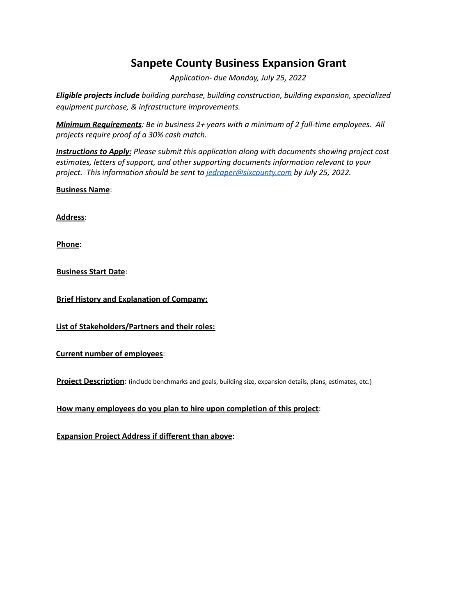## **Sanpete County Business Expansion Grant**

*Application- due Monday, July 25, 2022*

*Eligible projects include building purchase, building construction, building expansion, specialized equipment purchase, & infrastructure improvements.*

*Minimum Requirements: Be in business 2+ years with a minimum of 2 full-time employees. All projects require proof of a 30% cash match.*

*Instructions to Apply: Please submit this application along with documents showing project cost estimates, letters of support, and other supporting documents information relevant to your project. This information should be sent to [jedraper@sixcounty.com](mailto:jedraper@sixcounty.com) by July 25, 2022.*

**Business Name**:

**Address**:

**Phone**:

**Business Start Date**:

**Brief History and Explanation of Company:**

**List of Stakeholders/Partners and their roles:**

**Current number of employees**:

**Project Description**: (include benchmarks and goals, building size, expansion details, plans, estimates, etc.)

**How many employees do you plan to hire upon completion of this project**:

**Expansion Project Address if different than above**: